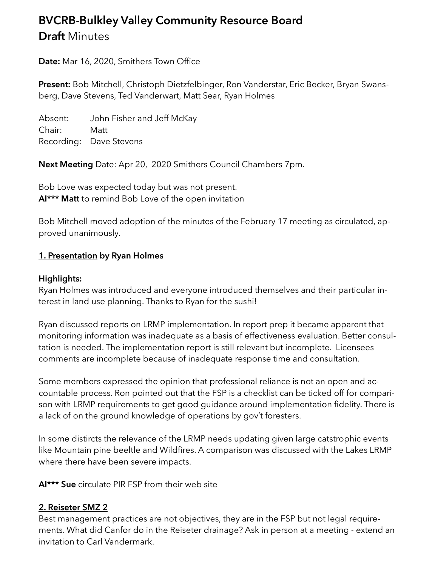# **BVCRB-Bulkley Valley Community Resource Board Draft** Minutes

**Date:** Mar 16, 2020, Smithers Town Office

**Present:** Bob Mitchell, Christoph Dietzfelbinger, Ron Vanderstar, Eric Becker, Bryan Swansberg, Dave Stevens, Ted Vanderwart, Matt Sear, Ryan Holmes

Absent: John Fisher and Jeff McKay Chair: Matt Recording: Dave Stevens

**Next Meeting** Date: Apr 20, 2020 Smithers Council Chambers 7pm.

Bob Love was expected today but was not present. **AI\*\*\* Matt** to remind Bob Love of the open invitation

Bob Mitchell moved adoption of the minutes of the February 17 meeting as circulated, approved unanimously.

#### **1. Presentation by Ryan Holmes**

#### **Highlights:**

Ryan Holmes was introduced and everyone introduced themselves and their particular interest in land use planning. Thanks to Ryan for the sushi!

Ryan discussed reports on LRMP implementation. In report prep it became apparent that monitoring information was inadequate as a basis of effectiveness evaluation. Better consultation is needed. The implementation report is still relevant but incomplete. Licensees comments are incomplete because of inadequate response time and consultation.

Some members expressed the opinion that professional reliance is not an open and accountable process. Ron pointed out that the FSP is a checklist can be ticked off for comparison with LRMP requirements to get good guidance around implementation fidelity. There is a lack of on the ground knowledge of operations by gov't foresters.

In some distircts the relevance of the LRMP needs updating given large catstrophic events like Mountain pine beeltle and Wildfires. A comparison was discussed with the Lakes LRMP where there have been severe impacts.

**AI\*\*\* Sue** circulate PIR FSP from their web site

#### **2. Reiseter SMZ 2**

Best management practices are not objectives, they are in the FSP but not legal requirements. What did Canfor do in the Reiseter drainage? Ask in person at a meeting - extend an invitation to Carl Vandermark.